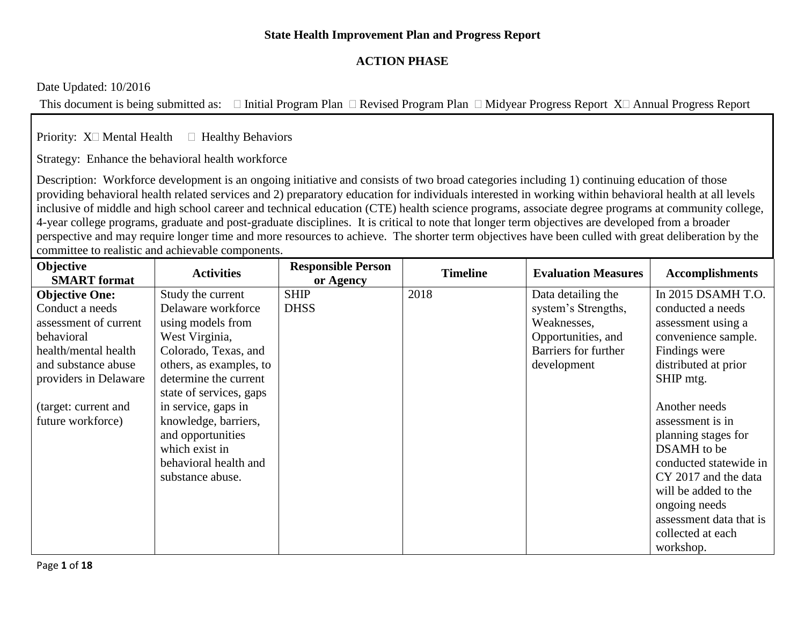## **State Health Improvement Plan and Progress Report**

# **ACTION PHASE**

Date Updated: 10/2016

This document is being submitted as:  $\Box$  Initial Program Plan  $\Box$  Revised Program Plan  $\Box$  Midyear Progress Report X $\Box$  Annual Progress Report

Priority:  $X \square$  Mental Health  $\square$  Healthy Behaviors

Strategy: Enhance the behavioral health workforce

Description: Workforce development is an ongoing initiative and consists of two broad categories including 1) continuing education of those providing behavioral health related services and 2) preparatory education for individuals interested in working within behavioral health at all levels inclusive of middle and high school career and technical education (CTE) health science programs, associate degree programs at community college, 4-year college programs, graduate and post-graduate disciplines. It is critical to note that longer term objectives are developed from a broader perspective and may require longer time and more resources to achieve. The shorter term objectives have been culled with great deliberation by the committee to realistic and achievable components.

| Objective             | <b>Activities</b>       | <b>Responsible Person</b> | <b>Timeline</b> | <b>Evaluation Measures</b> | <b>Accomplishments</b>  |
|-----------------------|-------------------------|---------------------------|-----------------|----------------------------|-------------------------|
| <b>SMART</b> format   |                         | or Agency                 |                 |                            |                         |
| <b>Objective One:</b> | Study the current       | <b>SHIP</b>               | 2018            | Data detailing the         | In 2015 DSAMH T.O.      |
| Conduct a needs       | Delaware workforce      | <b>DHSS</b>               |                 | system's Strengths,        | conducted a needs       |
| assessment of current | using models from       |                           |                 | Weaknesses,                | assessment using a      |
| behavioral            | West Virginia,          |                           |                 | Opportunities, and         | convenience sample.     |
| health/mental health  | Colorado, Texas, and    |                           |                 | Barriers for further       | Findings were           |
| and substance abuse   | others, as examples, to |                           |                 | development                | distributed at prior    |
| providers in Delaware | determine the current   |                           |                 |                            | SHIP mtg.               |
|                       | state of services, gaps |                           |                 |                            |                         |
| (target: current and  | in service, gaps in     |                           |                 |                            | Another needs           |
| future workforce)     | knowledge, barriers,    |                           |                 |                            | assessment is in        |
|                       | and opportunities       |                           |                 |                            | planning stages for     |
|                       | which exist in          |                           |                 |                            | DSAMH to be             |
|                       | behavioral health and   |                           |                 |                            | conducted statewide in  |
|                       | substance abuse.        |                           |                 |                            | CY 2017 and the data    |
|                       |                         |                           |                 |                            | will be added to the    |
|                       |                         |                           |                 |                            | ongoing needs           |
|                       |                         |                           |                 |                            | assessment data that is |
|                       |                         |                           |                 |                            | collected at each       |
|                       |                         |                           |                 |                            | workshop.               |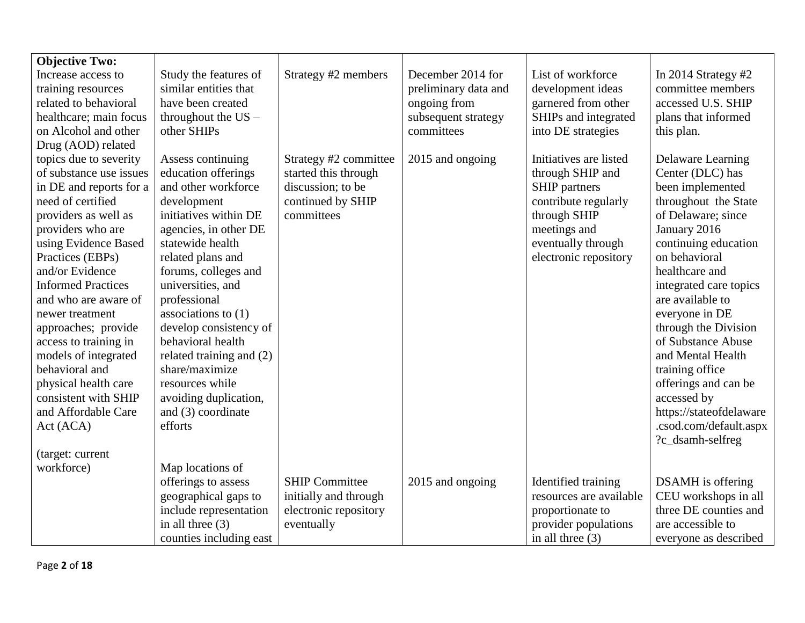| <b>Objective Two:</b>     |                          |                       |                      |                         |                          |
|---------------------------|--------------------------|-----------------------|----------------------|-------------------------|--------------------------|
| Increase access to        | Study the features of    | Strategy #2 members   | December 2014 for    | List of workforce       | In 2014 Strategy $#2$    |
| training resources        | similar entities that    |                       | preliminary data and | development ideas       | committee members        |
| related to behavioral     | have been created        |                       | ongoing from         | garnered from other     | accessed U.S. SHIP       |
| healthcare; main focus    | throughout the $US -$    |                       | subsequent strategy  | SHIPs and integrated    | plans that informed      |
| on Alcohol and other      | other SHIPs              |                       | committees           | into DE strategies      | this plan.               |
| Drug (AOD) related        |                          |                       |                      |                         |                          |
| topics due to severity    | Assess continuing        | Strategy #2 committee | 2015 and ongoing     | Initiatives are listed  | <b>Delaware Learning</b> |
| of substance use issues   | education offerings      | started this through  |                      | through SHIP and        | Center (DLC) has         |
| in DE and reports for a   | and other workforce      | discussion; to be     |                      | SHIP partners           | been implemented         |
| need of certified         | development              | continued by SHIP     |                      | contribute regularly    | throughout the State     |
| providers as well as      | initiatives within DE    | committees            |                      | through SHIP            | of Delaware; since       |
| providers who are         | agencies, in other DE    |                       |                      | meetings and            | January 2016             |
| using Evidence Based      | statewide health         |                       |                      | eventually through      | continuing education     |
| Practices (EBPs)          | related plans and        |                       |                      | electronic repository   | on behavioral            |
| and/or Evidence           | forums, colleges and     |                       |                      |                         | healthcare and           |
| <b>Informed Practices</b> | universities, and        |                       |                      |                         | integrated care topics   |
| and who are aware of      | professional             |                       |                      |                         | are available to         |
| newer treatment           | associations to $(1)$    |                       |                      |                         | everyone in DE           |
| approaches; provide       | develop consistency of   |                       |                      |                         | through the Division     |
| access to training in     | behavioral health        |                       |                      |                         | of Substance Abuse       |
| models of integrated      | related training and (2) |                       |                      |                         | and Mental Health        |
| behavioral and            | share/maximize           |                       |                      |                         | training office          |
| physical health care      | resources while          |                       |                      |                         | offerings and can be     |
| consistent with SHIP      | avoiding duplication,    |                       |                      |                         | accessed by              |
| and Affordable Care       | and (3) coordinate       |                       |                      |                         | https://stateofdelaware  |
| Act (ACA)                 | efforts                  |                       |                      |                         | .csod.com/default.aspx   |
|                           |                          |                       |                      |                         | ?c_dsamh-selfreg         |
| (target: current          |                          |                       |                      |                         |                          |
| workforce)                | Map locations of         |                       |                      |                         |                          |
|                           | offerings to assess      | <b>SHIP Committee</b> | 2015 and ongoing     | Identified training     | <b>DSAMH</b> is offering |
|                           | geographical gaps to     | initially and through |                      | resources are available | CEU workshops in all     |
|                           | include representation   | electronic repository |                      | proportionate to        | three DE counties and    |
|                           | in all three $(3)$       | eventually            |                      | provider populations    | are accessible to        |
|                           | counties including east  |                       |                      | in all three $(3)$      | everyone as described    |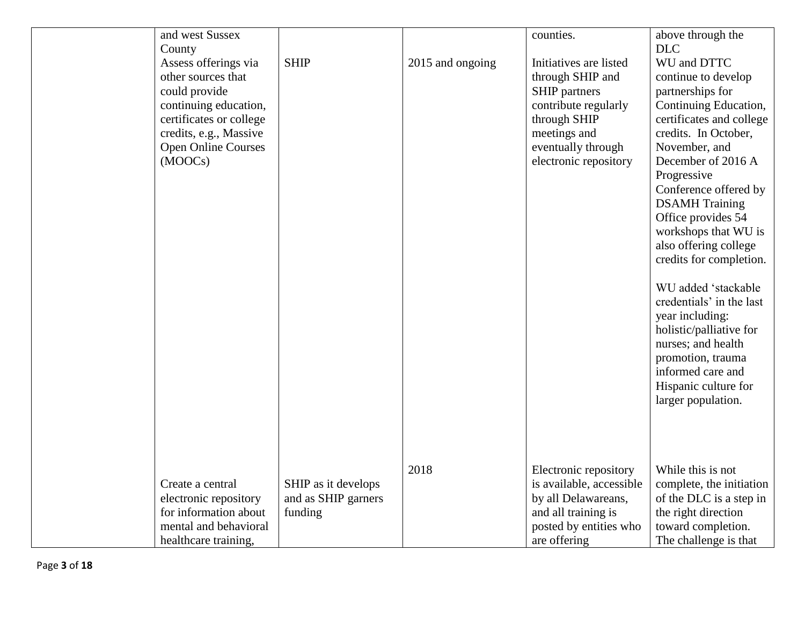| and west Sussex<br>County<br>Assess offerings via<br>other sources that<br>could provide<br>continuing education,<br>certificates or college<br>credits, e.g., Massive<br><b>Open Online Courses</b><br>(MOOCs) | <b>SHIP</b>                                           | 2015 and ongoing | counties.<br>Initiatives are listed<br>through SHIP and<br><b>SHIP</b> partners<br>contribute regularly<br>through SHIP<br>meetings and<br>eventually through<br>electronic repository | above through the<br><b>DLC</b><br>WU and DTTC<br>continue to develop<br>partnerships for<br>Continuing Education,<br>certificates and college<br>credits. In October,<br>November, and<br>December of 2016 A<br>Progressive<br>Conference offered by<br><b>DSAMH</b> Training<br>Office provides 54<br>workshops that WU is<br>also offering college<br>credits for completion.<br>WU added 'stackable<br>credentials' in the last<br>year including:<br>holistic/palliative for<br>nurses; and health |
|-----------------------------------------------------------------------------------------------------------------------------------------------------------------------------------------------------------------|-------------------------------------------------------|------------------|----------------------------------------------------------------------------------------------------------------------------------------------------------------------------------------|---------------------------------------------------------------------------------------------------------------------------------------------------------------------------------------------------------------------------------------------------------------------------------------------------------------------------------------------------------------------------------------------------------------------------------------------------------------------------------------------------------|
|                                                                                                                                                                                                                 |                                                       |                  |                                                                                                                                                                                        | promotion, trauma<br>informed care and<br>Hispanic culture for<br>larger population.                                                                                                                                                                                                                                                                                                                                                                                                                    |
| Create a central<br>electronic repository<br>for information about<br>mental and behavioral<br>healthcare training,                                                                                             | SHIP as it develops<br>and as SHIP garners<br>funding | 2018             | Electronic repository<br>is available, accessible<br>by all Delawareans,<br>and all training is<br>posted by entities who<br>are offering                                              | While this is not<br>complete, the initiation<br>of the DLC is a step in<br>the right direction<br>toward completion.<br>The challenge is that                                                                                                                                                                                                                                                                                                                                                          |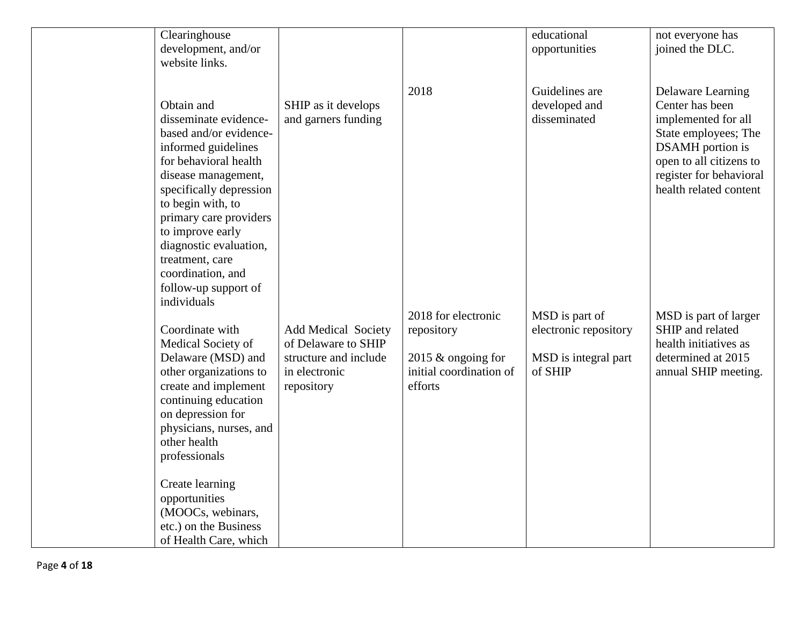| Clearinghouse<br>development, and/or          |                                        |                                                 | educational<br>opportunities    | not everyone has<br>joined the DLC.             |
|-----------------------------------------------|----------------------------------------|-------------------------------------------------|---------------------------------|-------------------------------------------------|
| website links.                                |                                        |                                                 |                                 |                                                 |
|                                               |                                        |                                                 |                                 |                                                 |
|                                               |                                        | 2018                                            | Guidelines are                  | <b>Delaware Learning</b>                        |
| Obtain and                                    | SHIP as it develops                    |                                                 | developed and                   | Center has been                                 |
| disseminate evidence-                         | and garners funding                    |                                                 | disseminated                    | implemented for all                             |
| based and/or evidence-<br>informed guidelines |                                        |                                                 |                                 | State employees; The<br><b>DSAMH</b> portion is |
| for behavioral health                         |                                        |                                                 |                                 | open to all citizens to                         |
| disease management,                           |                                        |                                                 |                                 | register for behavioral                         |
| specifically depression                       |                                        |                                                 |                                 | health related content                          |
| to begin with, to                             |                                        |                                                 |                                 |                                                 |
| primary care providers                        |                                        |                                                 |                                 |                                                 |
| to improve early                              |                                        |                                                 |                                 |                                                 |
| diagnostic evaluation,<br>treatment, care     |                                        |                                                 |                                 |                                                 |
| coordination, and                             |                                        |                                                 |                                 |                                                 |
| follow-up support of                          |                                        |                                                 |                                 |                                                 |
| individuals                                   |                                        |                                                 |                                 |                                                 |
|                                               |                                        | 2018 for electronic                             | MSD is part of                  | MSD is part of larger                           |
| Coordinate with                               | Add Medical Society                    | repository                                      | electronic repository           | SHIP and related                                |
| Medical Society of                            | of Delaware to SHIP                    |                                                 |                                 | health initiatives as                           |
| Delaware (MSD) and<br>other organizations to  | structure and include<br>in electronic | 2015 $&$ ongoing for<br>initial coordination of | MSD is integral part<br>of SHIP | determined at 2015<br>annual SHIP meeting.      |
| create and implement                          | repository                             | efforts                                         |                                 |                                                 |
| continuing education                          |                                        |                                                 |                                 |                                                 |
| on depression for                             |                                        |                                                 |                                 |                                                 |
| physicians, nurses, and                       |                                        |                                                 |                                 |                                                 |
| other health                                  |                                        |                                                 |                                 |                                                 |
| professionals                                 |                                        |                                                 |                                 |                                                 |
| Create learning                               |                                        |                                                 |                                 |                                                 |
| opportunities                                 |                                        |                                                 |                                 |                                                 |
| (MOOCs, webinars,                             |                                        |                                                 |                                 |                                                 |
| etc.) on the Business                         |                                        |                                                 |                                 |                                                 |
| of Health Care, which                         |                                        |                                                 |                                 |                                                 |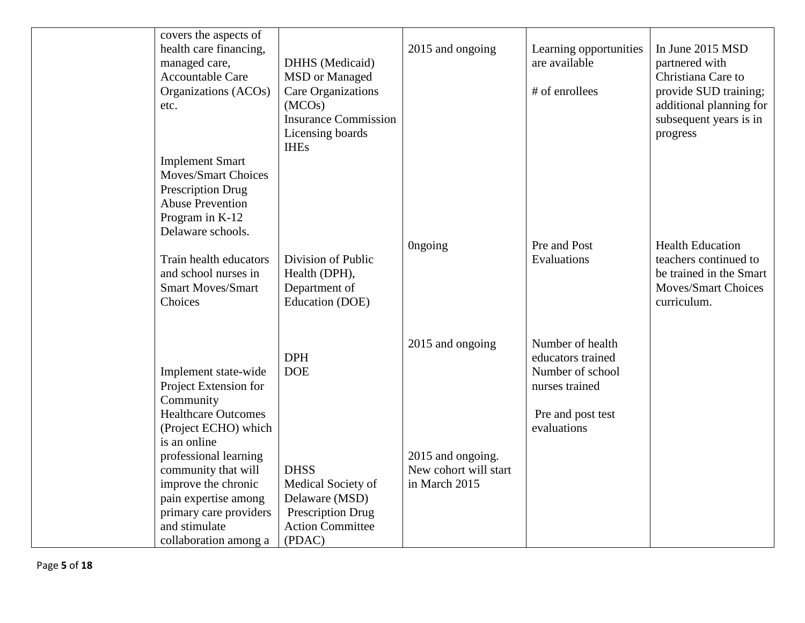| covers the aspects of<br>health care financing,<br>managed care,<br>Accountable Care<br>Organizations (ACOs)<br>etc.<br><b>Implement Smart</b><br><b>Moves/Smart Choices</b><br>Prescription Drug<br><b>Abuse Prevention</b><br>Program in K-12                                                     | DHHS (Medicaid)<br><b>MSD</b> or Managed<br>Care Organizations<br>(MCOs)<br><b>Insurance Commission</b><br>Licensing boards<br><b>IHEs</b> | 2015 and ongoing                                                                | Learning opportunities<br>are available<br># of enrollees                                                       | In June 2015 MSD<br>partnered with<br>Christiana Care to<br>provide SUD training;<br>additional planning for<br>subsequent years is in<br>progress |
|-----------------------------------------------------------------------------------------------------------------------------------------------------------------------------------------------------------------------------------------------------------------------------------------------------|--------------------------------------------------------------------------------------------------------------------------------------------|---------------------------------------------------------------------------------|-----------------------------------------------------------------------------------------------------------------|----------------------------------------------------------------------------------------------------------------------------------------------------|
| Delaware schools.<br>Train health educators<br>and school nurses in<br><b>Smart Moves/Smart</b><br>Choices                                                                                                                                                                                          | Division of Public<br>Health (DPH),<br>Department of<br>Education (DOE)                                                                    | <b>Ongoing</b>                                                                  | Pre and Post<br>Evaluations                                                                                     | <b>Health Education</b><br>teachers continued to<br>be trained in the Smart<br>Moves/Smart Choices<br>curriculum.                                  |
| Implement state-wide<br>Project Extension for<br>Community<br><b>Healthcare Outcomes</b><br>(Project ECHO) which<br>is an online<br>professional learning<br>community that will<br>improve the chronic<br>pain expertise among<br>primary care providers<br>and stimulate<br>collaboration among a | <b>DPH</b><br><b>DOE</b><br><b>DHSS</b><br>Medical Society of<br>Delaware (MSD)<br>Prescription Drug<br><b>Action Committee</b><br>(PDAC)  | 2015 and ongoing<br>2015 and ongoing.<br>New cohort will start<br>in March 2015 | Number of health<br>educators trained<br>Number of school<br>nurses trained<br>Pre and post test<br>evaluations |                                                                                                                                                    |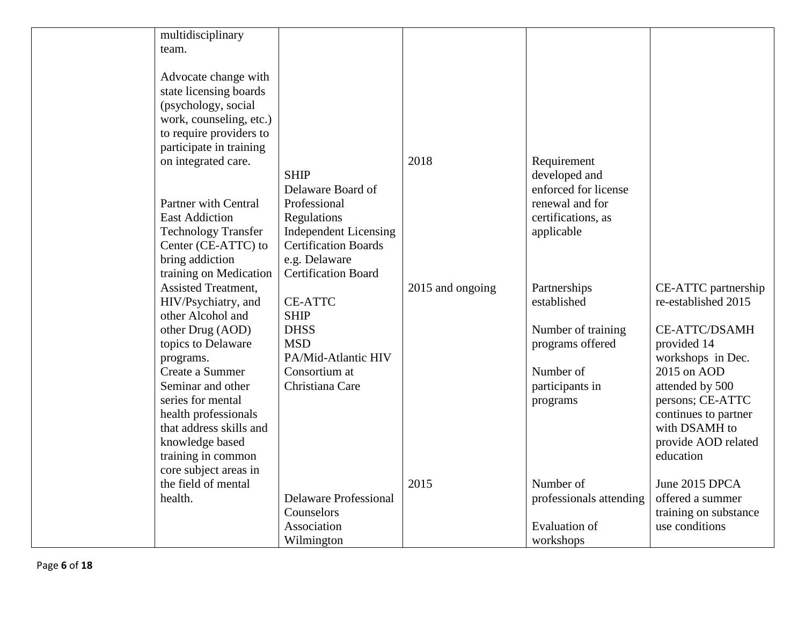| multidisciplinary           |                              |                  |                         |                       |
|-----------------------------|------------------------------|------------------|-------------------------|-----------------------|
| team.                       |                              |                  |                         |                       |
|                             |                              |                  |                         |                       |
| Advocate change with        |                              |                  |                         |                       |
| state licensing boards      |                              |                  |                         |                       |
| (psychology, social         |                              |                  |                         |                       |
| work, counseling, etc.)     |                              |                  |                         |                       |
| to require providers to     |                              |                  |                         |                       |
| participate in training     |                              |                  |                         |                       |
| on integrated care.         |                              | 2018             | Requirement             |                       |
|                             | <b>SHIP</b>                  |                  | developed and           |                       |
|                             | Delaware Board of            |                  | enforced for license    |                       |
| <b>Partner with Central</b> | Professional                 |                  | renewal and for         |                       |
| <b>East Addiction</b>       | Regulations                  |                  | certifications, as      |                       |
| <b>Technology Transfer</b>  | <b>Independent Licensing</b> |                  | applicable              |                       |
| Center (CE-ATTC) to         | <b>Certification Boards</b>  |                  |                         |                       |
| bring addiction             | e.g. Delaware                |                  |                         |                       |
| training on Medication      | <b>Certification Board</b>   |                  |                         |                       |
| <b>Assisted Treatment,</b>  |                              | 2015 and ongoing | Partnerships            | CE-ATTC partnership   |
| HIV/Psychiatry, and         | <b>CE-ATTC</b>               |                  | established             | re-established 2015   |
| other Alcohol and           | <b>SHIP</b>                  |                  |                         |                       |
| other Drug (AOD)            | <b>DHSS</b>                  |                  | Number of training      | <b>CE-ATTC/DSAMH</b>  |
| topics to Delaware          | <b>MSD</b>                   |                  | programs offered        | provided 14           |
| programs.                   | PA/Mid-Atlantic HIV          |                  |                         | workshops in Dec.     |
| Create a Summer             | Consortium at                |                  | Number of               | 2015 on AOD           |
| Seminar and other           | Christiana Care              |                  | participants in         | attended by 500       |
| series for mental           |                              |                  | programs                | persons; CE-ATTC      |
| health professionals        |                              |                  |                         | continues to partner  |
| that address skills and     |                              |                  |                         | with DSAMH to         |
| knowledge based             |                              |                  |                         | provide AOD related   |
| training in common          |                              |                  |                         | education             |
| core subject areas in       |                              |                  |                         |                       |
| the field of mental         |                              | 2015             | Number of               | June 2015 DPCA        |
| health.                     | <b>Delaware Professional</b> |                  | professionals attending | offered a summer      |
|                             | Counselors                   |                  |                         | training on substance |
|                             | Association                  |                  | <b>Evaluation</b> of    | use conditions        |
|                             | Wilmington                   |                  | workshops               |                       |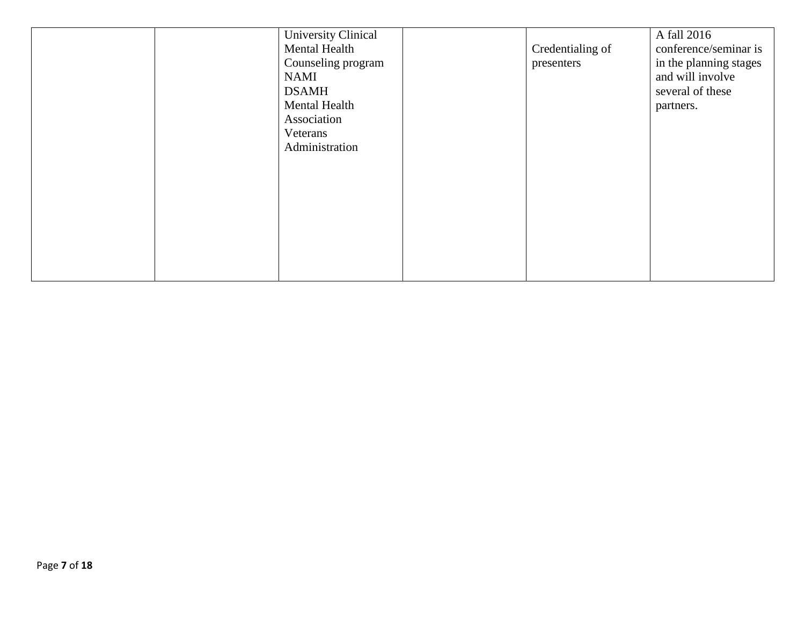|  | <b>University Clinical</b> |                  | A fall 2016            |
|--|----------------------------|------------------|------------------------|
|  | Mental Health              | Credentialing of | conference/seminar is  |
|  | Counseling program         | presenters       | in the planning stages |
|  | <b>NAMI</b>                |                  | and will involve       |
|  | <b>DSAMH</b>               |                  | several of these       |
|  | Mental Health              |                  | partners.              |
|  | Association                |                  |                        |
|  | Veterans                   |                  |                        |
|  | Administration             |                  |                        |
|  |                            |                  |                        |
|  |                            |                  |                        |
|  |                            |                  |                        |
|  |                            |                  |                        |
|  |                            |                  |                        |
|  |                            |                  |                        |
|  |                            |                  |                        |
|  |                            |                  |                        |
|  |                            |                  |                        |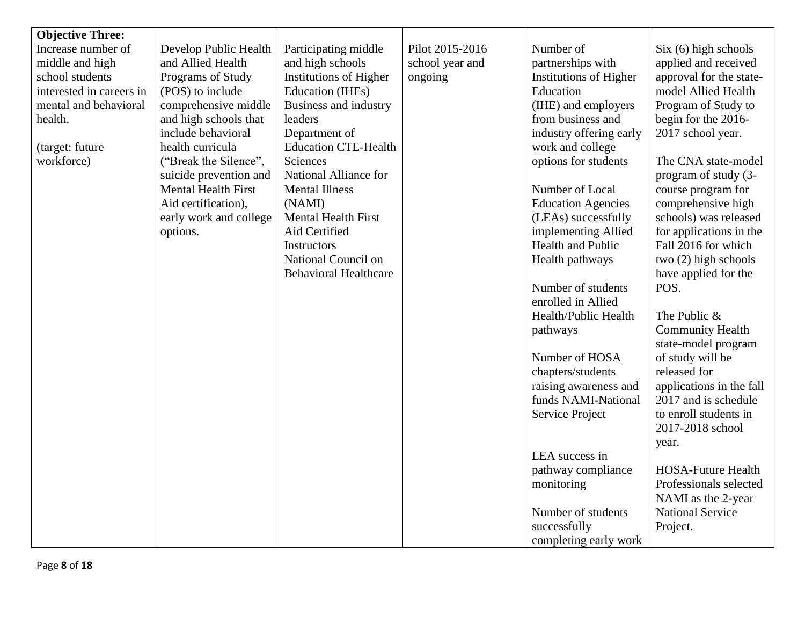| <b>Objective Three:</b>  |                            |                               |                 |                               |                           |
|--------------------------|----------------------------|-------------------------------|-----------------|-------------------------------|---------------------------|
| Increase number of       | Develop Public Health      | Participating middle          | Pilot 2015-2016 | Number of                     | Six (6) high schools      |
| middle and high          | and Allied Health          | and high schools              | school year and | partnerships with             | applied and received      |
| school students          | Programs of Study          | <b>Institutions of Higher</b> | ongoing         | <b>Institutions of Higher</b> | approval for the state-   |
| interested in careers in | (POS) to include           | Education (IHEs)              |                 | Education                     | model Allied Health       |
| mental and behavioral    | comprehensive middle       | Business and industry         |                 | (IHE) and employers           | Program of Study to       |
| health.                  | and high schools that      | leaders                       |                 | from business and             | begin for the 2016-       |
|                          | include behavioral         | Department of                 |                 | industry offering early       | 2017 school year.         |
| (target: future          | health curricula           | <b>Education CTE-Health</b>   |                 | work and college              |                           |
| workforce)               | ("Break the Silence",      | Sciences                      |                 | options for students          | The CNA state-model       |
|                          | suicide prevention and     | National Alliance for         |                 |                               | program of study (3-      |
|                          | <b>Mental Health First</b> | <b>Mental Illness</b>         |                 | Number of Local               | course program for        |
|                          | Aid certification),        | (NAMI)                        |                 | <b>Education Agencies</b>     | comprehensive high        |
|                          | early work and college     | <b>Mental Health First</b>    |                 | (LEAs) successfully           | schools) was released     |
|                          | options.                   | Aid Certified                 |                 | implementing Allied           | for applications in the   |
|                          |                            | Instructors                   |                 | Health and Public             | Fall 2016 for which       |
|                          |                            | National Council on           |                 | Health pathways               | two $(2)$ high schools    |
|                          |                            | <b>Behavioral Healthcare</b>  |                 |                               | have applied for the      |
|                          |                            |                               |                 | Number of students            | POS.                      |
|                          |                            |                               |                 | enrolled in Allied            |                           |
|                          |                            |                               |                 | Health/Public Health          | The Public &              |
|                          |                            |                               |                 |                               | <b>Community Health</b>   |
|                          |                            |                               |                 | pathways                      | state-model program       |
|                          |                            |                               |                 | Number of HOSA                | of study will be          |
|                          |                            |                               |                 | chapters/students             | released for              |
|                          |                            |                               |                 | raising awareness and         | applications in the fall  |
|                          |                            |                               |                 | funds NAMI-National           | 2017 and is schedule      |
|                          |                            |                               |                 |                               | to enroll students in     |
|                          |                            |                               |                 | Service Project               |                           |
|                          |                            |                               |                 |                               | 2017-2018 school          |
|                          |                            |                               |                 | LEA success in                | year.                     |
|                          |                            |                               |                 |                               |                           |
|                          |                            |                               |                 | pathway compliance            | <b>HOSA-Future Health</b> |
|                          |                            |                               |                 | monitoring                    | Professionals selected    |
|                          |                            |                               |                 |                               | NAMI as the 2-year        |
|                          |                            |                               |                 | Number of students            | <b>National Service</b>   |
|                          |                            |                               |                 | successfully                  | Project.                  |
|                          |                            |                               |                 | completing early work         |                           |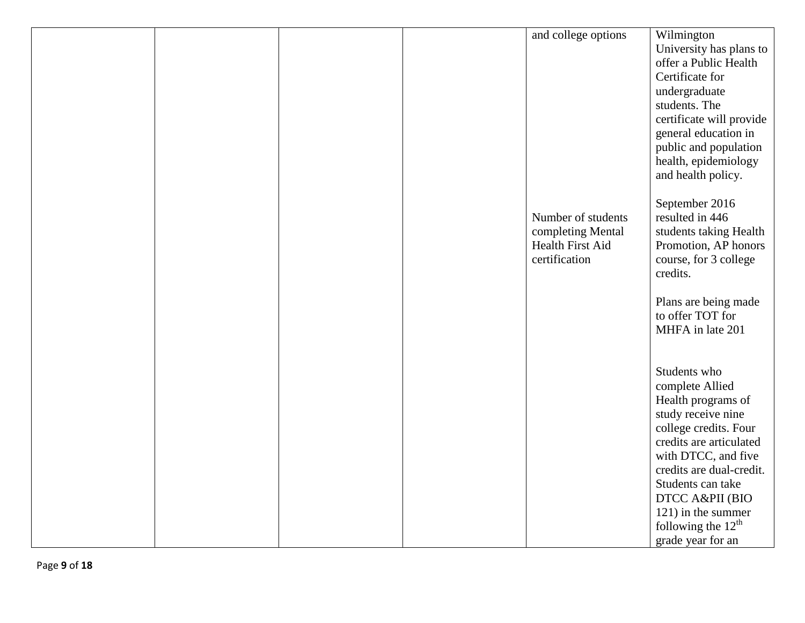|  |  | and college options | Wilmington                            |
|--|--|---------------------|---------------------------------------|
|  |  |                     | University has plans to               |
|  |  |                     | offer a Public Health                 |
|  |  |                     | Certificate for                       |
|  |  |                     | undergraduate                         |
|  |  |                     | students. The                         |
|  |  |                     | certificate will provide              |
|  |  |                     | general education in                  |
|  |  |                     | public and population                 |
|  |  |                     | health, epidemiology                  |
|  |  |                     | and health policy.                    |
|  |  |                     |                                       |
|  |  |                     | September 2016                        |
|  |  | Number of students  | resulted in 446                       |
|  |  | completing Mental   | students taking Health                |
|  |  | Health First Aid    | Promotion, AP honors                  |
|  |  | certification       | course, for 3 college                 |
|  |  |                     | credits.                              |
|  |  |                     |                                       |
|  |  |                     | Plans are being made                  |
|  |  |                     | to offer TOT for                      |
|  |  |                     | MHFA in late 201                      |
|  |  |                     |                                       |
|  |  |                     | Students who                          |
|  |  |                     |                                       |
|  |  |                     | complete Allied<br>Health programs of |
|  |  |                     | study receive nine                    |
|  |  |                     | college credits. Four                 |
|  |  |                     | credits are articulated               |
|  |  |                     | with DTCC, and five                   |
|  |  |                     | credits are dual-credit.              |
|  |  |                     | Students can take                     |
|  |  |                     | DTCC A&PII (BIO                       |
|  |  |                     | 121) in the summer                    |
|  |  |                     | following the $12th$                  |
|  |  |                     | grade year for an                     |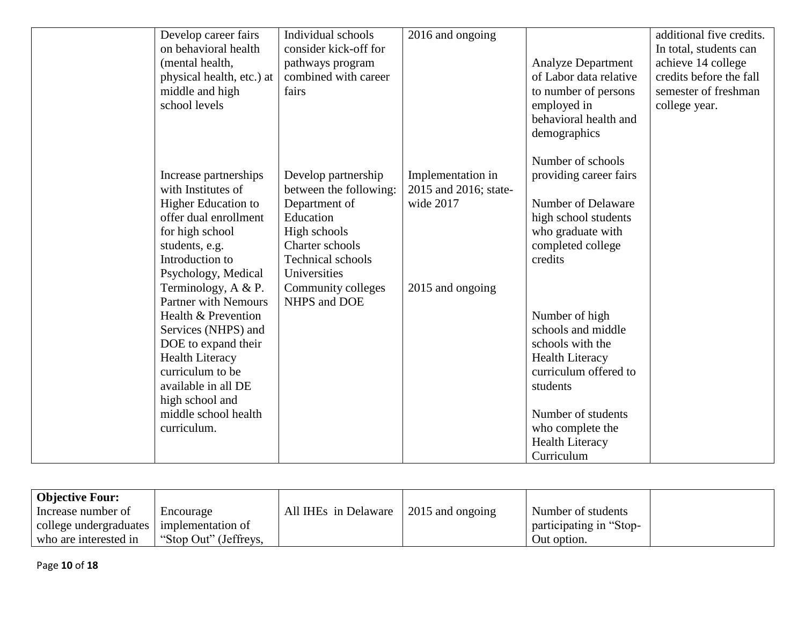| Number of schools<br>Increase partnerships<br>Develop partnership<br>Implementation in<br>providing career fairs<br>with Institutes of<br>between the following:<br>2015 and 2016; state-<br>Number of Delaware<br>wide 2017<br><b>Higher Education to</b><br>Department of<br>offer dual enrollment<br>Education<br>high school students<br>for high school<br>High schools<br>who graduate with<br>Charter schools<br>completed college<br>students, e.g.<br>Technical schools<br>credits<br>Introduction to<br>Universities<br>Psychology, Medical<br>Terminology, A & P.<br>Community colleges<br>2015 and ongoing<br><b>Partner with Nemours</b><br>NHPS and DOE<br>Number of high<br>Health & Prevention<br>schools and middle<br>Services (NHPS) and<br>DOE to expand their<br>schools with the<br><b>Health Literacy</b><br><b>Health Literacy</b><br>curriculum to be<br>curriculum offered to | Develop career fairs<br>on behavioral health<br>(mental health,<br>physical health, etc.) at<br>middle and high<br>school levels | Individual schools<br>consider kick-off for<br>pathways program<br>combined with career<br>fairs | 2016 and ongoing | <b>Analyze Department</b><br>of Labor data relative<br>to number of persons<br>employed in<br>behavioral health and | additional five credits.<br>In total, students can<br>achieve 14 college<br>credits before the fall<br>semester of freshman<br>college year. |
|---------------------------------------------------------------------------------------------------------------------------------------------------------------------------------------------------------------------------------------------------------------------------------------------------------------------------------------------------------------------------------------------------------------------------------------------------------------------------------------------------------------------------------------------------------------------------------------------------------------------------------------------------------------------------------------------------------------------------------------------------------------------------------------------------------------------------------------------------------------------------------------------------------|----------------------------------------------------------------------------------------------------------------------------------|--------------------------------------------------------------------------------------------------|------------------|---------------------------------------------------------------------------------------------------------------------|----------------------------------------------------------------------------------------------------------------------------------------------|
| high school and<br>middle school health<br>Number of students<br>curriculum.<br>who complete the<br>Health Literacy                                                                                                                                                                                                                                                                                                                                                                                                                                                                                                                                                                                                                                                                                                                                                                                     | available in all DE                                                                                                              |                                                                                                  |                  | demographics<br>students                                                                                            |                                                                                                                                              |

| <b>Objective Four:</b>                     |                       |                      |                  |                         |
|--------------------------------------------|-----------------------|----------------------|------------------|-------------------------|
| Increase number of                         | Encourage             | All IHEs in Delaware | 2015 and ongoing | Number of students      |
| college undergraduates   implementation of |                       |                      |                  | participating in "Stop- |
| who are interested in                      | "Stop Out" (Jeffreys, |                      |                  | Out option.             |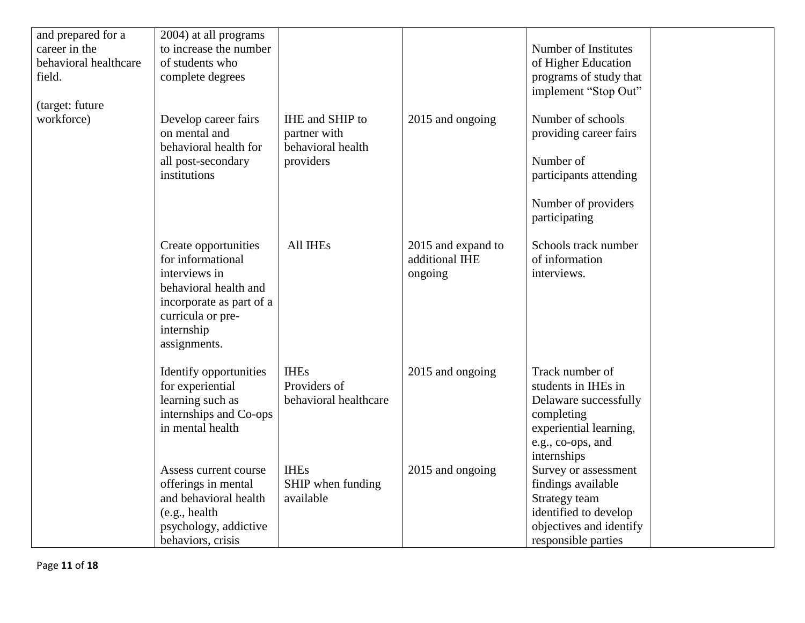| and prepared for a    | 2004) at all programs    |                       |                    |                         |  |
|-----------------------|--------------------------|-----------------------|--------------------|-------------------------|--|
| career in the         | to increase the number   |                       |                    | Number of Institutes    |  |
| behavioral healthcare | of students who          |                       |                    | of Higher Education     |  |
| field.                | complete degrees         |                       |                    | programs of study that  |  |
|                       |                          |                       |                    | implement "Stop Out"    |  |
| (target: future       |                          |                       |                    |                         |  |
| workforce)            | Develop career fairs     | IHE and SHIP to       | 2015 and ongoing   | Number of schools       |  |
|                       | on mental and            | partner with          |                    | providing career fairs  |  |
|                       | behavioral health for    | behavioral health     |                    |                         |  |
|                       | all post-secondary       | providers             |                    | Number of               |  |
|                       | institutions             |                       |                    | participants attending  |  |
|                       |                          |                       |                    |                         |  |
|                       |                          |                       |                    | Number of providers     |  |
|                       |                          |                       |                    | participating           |  |
|                       |                          |                       |                    |                         |  |
|                       | Create opportunities     | All IHEs              | 2015 and expand to | Schools track number    |  |
|                       | for informational        |                       | additional IHE     | of information          |  |
|                       | interviews in            |                       | ongoing            | interviews.             |  |
|                       | behavioral health and    |                       |                    |                         |  |
|                       | incorporate as part of a |                       |                    |                         |  |
|                       | curricula or pre-        |                       |                    |                         |  |
|                       | internship               |                       |                    |                         |  |
|                       | assignments.             |                       |                    |                         |  |
|                       |                          |                       |                    |                         |  |
|                       | Identify opportunities   | <b>IHEs</b>           | 2015 and ongoing   | Track number of         |  |
|                       | for experiential         | Providers of          |                    | students in IHEs in     |  |
|                       | learning such as         | behavioral healthcare |                    | Delaware successfully   |  |
|                       | internships and Co-ops   |                       |                    | completing              |  |
|                       | in mental health         |                       |                    | experiential learning,  |  |
|                       |                          |                       |                    | e.g., co-ops, and       |  |
|                       |                          |                       |                    | internships             |  |
|                       | Assess current course    | <b>IHEs</b>           | 2015 and ongoing   | Survey or assessment    |  |
|                       | offerings in mental      | SHIP when funding     |                    | findings available      |  |
|                       | and behavioral health    | available             |                    | Strategy team           |  |
|                       | (e.g., health            |                       |                    | identified to develop   |  |
|                       | psychology, addictive    |                       |                    | objectives and identify |  |
|                       | behaviors, crisis        |                       |                    | responsible parties     |  |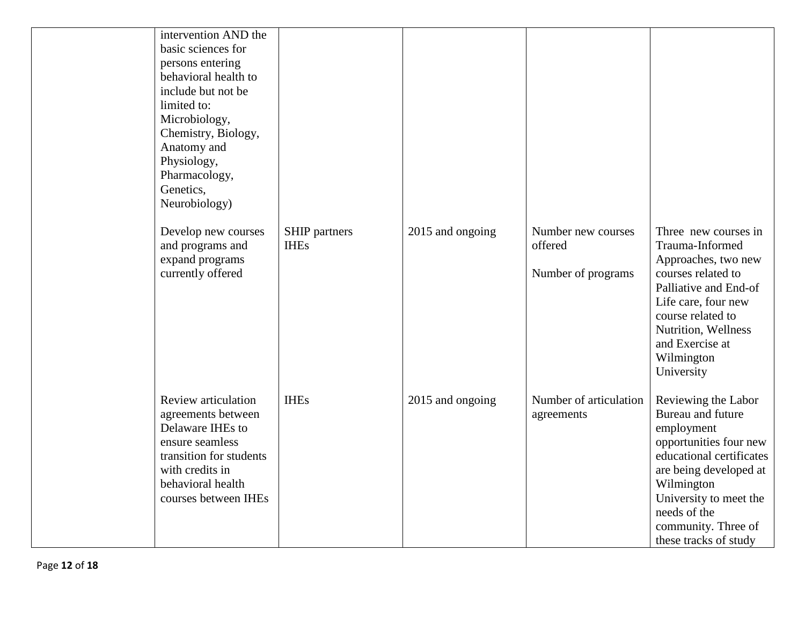| intervention AND the<br>basic sciences for<br>persons entering<br>behavioral health to<br>include but not be<br>limited to:<br>Microbiology,<br>Chemistry, Biology,<br>Anatomy and<br>Physiology,<br>Pharmacology,<br>Genetics,<br>Neurobiology) |                                     |                  |                                                     |                                                                                                                                                                                                                                                |
|--------------------------------------------------------------------------------------------------------------------------------------------------------------------------------------------------------------------------------------------------|-------------------------------------|------------------|-----------------------------------------------------|------------------------------------------------------------------------------------------------------------------------------------------------------------------------------------------------------------------------------------------------|
| Develop new courses<br>and programs and<br>expand programs<br>currently offered                                                                                                                                                                  | <b>SHIP</b> partners<br><b>IHEs</b> | 2015 and ongoing | Number new courses<br>offered<br>Number of programs | Three new courses in<br>Trauma-Informed<br>Approaches, two new<br>courses related to<br>Palliative and End-of<br>Life care, four new<br>course related to<br>Nutrition, Wellness<br>and Exercise at<br>Wilmington<br>University                |
| Review articulation<br>agreements between<br>Delaware IHEs to<br>ensure seamless<br>transition for students<br>with credits in<br>behavioral health<br>courses between IHEs                                                                      | <b>IHEs</b>                         | 2015 and ongoing | Number of articulation<br>agreements                | Reviewing the Labor<br>Bureau and future<br>employment<br>opportunities four new<br>educational certificates<br>are being developed at<br>Wilmington<br>University to meet the<br>needs of the<br>community. Three of<br>these tracks of study |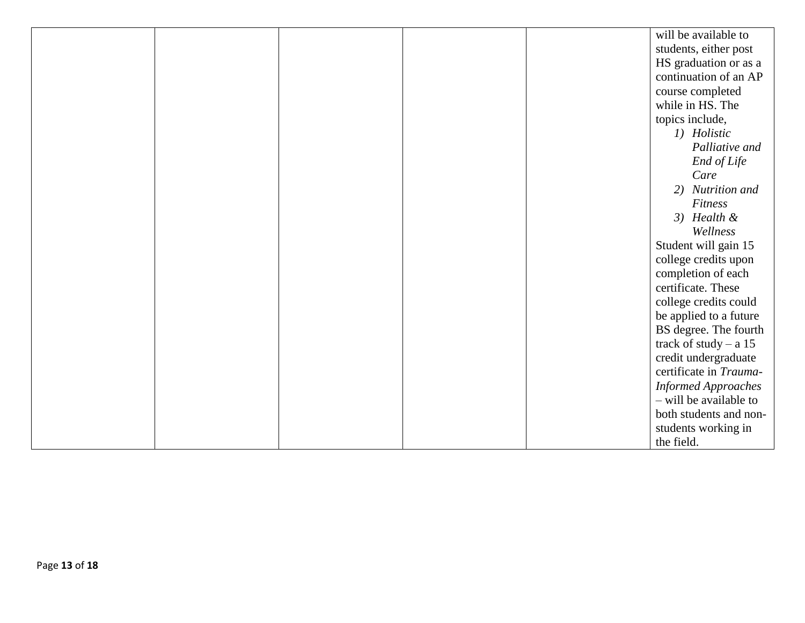|  |  | will be available to       |
|--|--|----------------------------|
|  |  | students, either post      |
|  |  | HS graduation or as a      |
|  |  | continuation of an AP      |
|  |  | course completed           |
|  |  | while in HS. The           |
|  |  | topics include,            |
|  |  | 1) Holistic                |
|  |  | Palliative and             |
|  |  | End of Life                |
|  |  | Care                       |
|  |  | 2) Nutrition and           |
|  |  | Fitness                    |
|  |  | $3)$ Health &              |
|  |  | Wellness                   |
|  |  | Student will gain 15       |
|  |  | college credits upon       |
|  |  | completion of each         |
|  |  | certificate. These         |
|  |  | college credits could      |
|  |  | be applied to a future     |
|  |  | BS degree. The fourth      |
|  |  | track of study $- a 15$    |
|  |  | credit undergraduate       |
|  |  | certificate in Trauma-     |
|  |  | <b>Informed Approaches</b> |
|  |  | - will be available to     |
|  |  | both students and non-     |
|  |  | students working in        |
|  |  | the field.                 |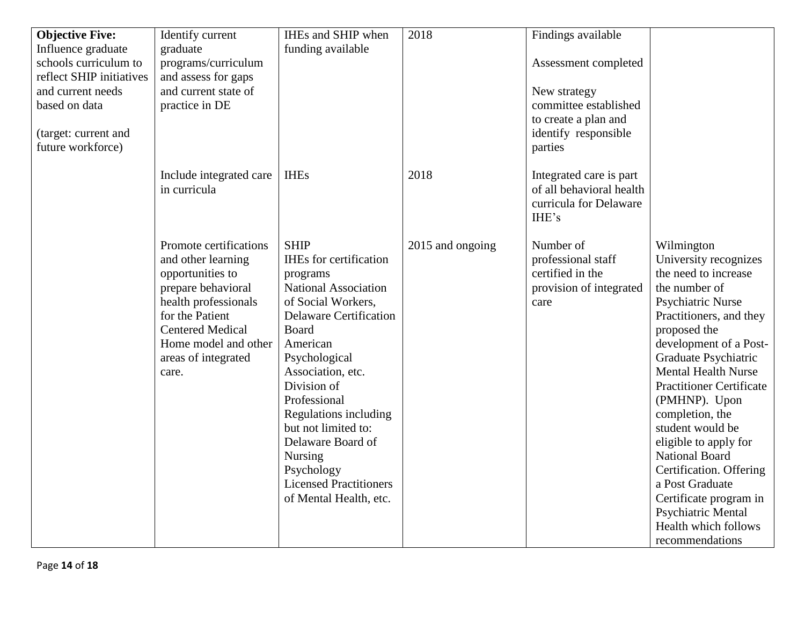| <b>Objective Five:</b>   | Identify current        | IHEs and SHIP when            | 2018             | Findings available       |                                 |
|--------------------------|-------------------------|-------------------------------|------------------|--------------------------|---------------------------------|
| Influence graduate       | graduate                | funding available             |                  |                          |                                 |
| schools curriculum to    | programs/curriculum     |                               |                  | Assessment completed     |                                 |
| reflect SHIP initiatives | and assess for gaps     |                               |                  |                          |                                 |
| and current needs        | and current state of    |                               |                  | New strategy             |                                 |
| based on data            | practice in DE          |                               |                  | committee established    |                                 |
|                          |                         |                               |                  | to create a plan and     |                                 |
| (target: current and     |                         |                               |                  | identify responsible     |                                 |
| future workforce)        |                         |                               |                  | parties                  |                                 |
|                          |                         |                               |                  |                          |                                 |
|                          | Include integrated care | <b>IHEs</b>                   | 2018             | Integrated care is part  |                                 |
|                          | in curricula            |                               |                  | of all behavioral health |                                 |
|                          |                         |                               |                  | curricula for Delaware   |                                 |
|                          |                         |                               |                  | IHE's                    |                                 |
|                          |                         |                               |                  |                          |                                 |
|                          | Promote certifications  | <b>SHIP</b>                   | 2015 and ongoing | Number of                | Wilmington                      |
|                          | and other learning      | <b>IHEs</b> for certification |                  | professional staff       | University recognizes           |
|                          | opportunities to        | programs                      |                  | certified in the         | the need to increase            |
|                          | prepare behavioral      | National Association          |                  | provision of integrated  | the number of                   |
|                          | health professionals    | of Social Workers,            |                  | care                     | Psychiatric Nurse               |
|                          | for the Patient         | <b>Delaware Certification</b> |                  |                          | Practitioners, and they         |
|                          | <b>Centered Medical</b> | <b>Board</b>                  |                  |                          | proposed the                    |
|                          | Home model and other    | American                      |                  |                          | development of a Post-          |
|                          | areas of integrated     | Psychological                 |                  |                          | Graduate Psychiatric            |
|                          | care.                   | Association, etc.             |                  |                          | <b>Mental Health Nurse</b>      |
|                          |                         | Division of                   |                  |                          | <b>Practitioner Certificate</b> |
|                          |                         | Professional                  |                  |                          | (PMHNP). Upon                   |
|                          |                         | Regulations including         |                  |                          | completion, the                 |
|                          |                         | but not limited to:           |                  |                          | student would be                |
|                          |                         | Delaware Board of             |                  |                          | eligible to apply for           |
|                          |                         | Nursing                       |                  |                          | <b>National Board</b>           |
|                          |                         | Psychology                    |                  |                          | Certification. Offering         |
|                          |                         | <b>Licensed Practitioners</b> |                  |                          | a Post Graduate                 |
|                          |                         | of Mental Health, etc.        |                  |                          | Certificate program in          |
|                          |                         |                               |                  |                          | Psychiatric Mental              |
|                          |                         |                               |                  |                          | Health which follows            |
|                          |                         |                               |                  |                          |                                 |
|                          |                         |                               |                  |                          | recommendations                 |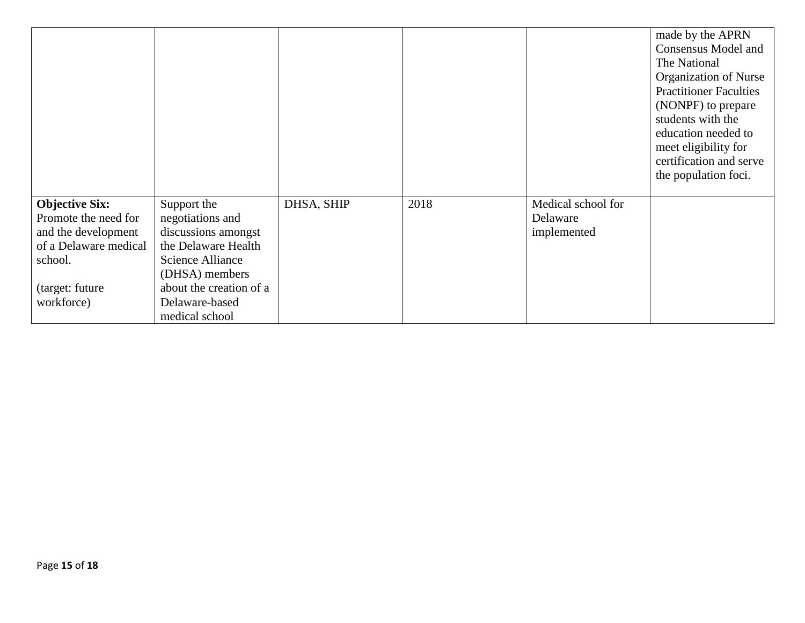|                       |                         |            |      |                    | made by the APRN              |
|-----------------------|-------------------------|------------|------|--------------------|-------------------------------|
|                       |                         |            |      |                    | <b>Consensus Model and</b>    |
|                       |                         |            |      |                    | The National                  |
|                       |                         |            |      |                    | Organization of Nurse         |
|                       |                         |            |      |                    | <b>Practitioner Faculties</b> |
|                       |                         |            |      |                    | (NONPF) to prepare            |
|                       |                         |            |      |                    | students with the             |
|                       |                         |            |      |                    | education needed to           |
|                       |                         |            |      |                    | meet eligibility for          |
|                       |                         |            |      |                    | certification and serve       |
|                       |                         |            |      |                    | the population foci.          |
|                       |                         |            |      |                    |                               |
| <b>Objective Six:</b> | Support the             | DHSA, SHIP | 2018 | Medical school for |                               |
| Promote the need for  | negotiations and        |            |      | Delaware           |                               |
| and the development   | discussions amongst     |            |      | implemented        |                               |
| of a Delaware medical | the Delaware Health     |            |      |                    |                               |
| school.               | Science Alliance        |            |      |                    |                               |
|                       | (DHSA) members          |            |      |                    |                               |
| (target: future       | about the creation of a |            |      |                    |                               |
| workforce)            | Delaware-based          |            |      |                    |                               |
|                       | medical school          |            |      |                    |                               |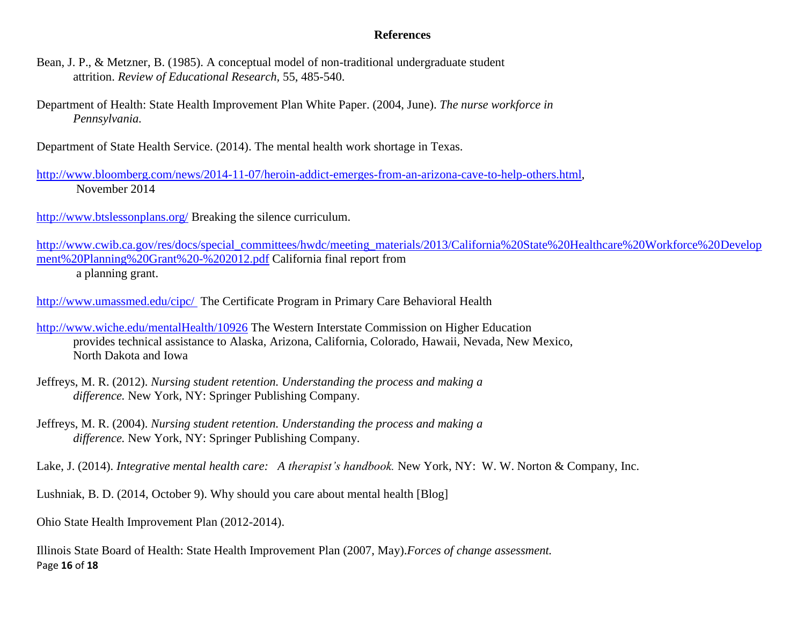#### **References**

- Bean, J. P., & Metzner, B. (1985). A conceptual model of non-traditional undergraduate student attrition. *Review of Educational Research,* 55, 485-540.
- Department of Health: State Health Improvement Plan White Paper. (2004, June). *The nurse workforce in Pennsylvania.*

Department of State Health Service. (2014). The mental health work shortage in Texas.

[http://www.bloomberg.com/news/2014-11-07/heroin-addict-emerges-from-an-arizona-cave-to-help-others.html,](http://www.bloomberg.com/news/2014-11-07/heroin-addict-emerges-from-an-arizona-cave-to-help-others.html) November 2014

<http://www.btslessonplans.org/> Breaking the silence curriculum.

[http://www.cwib.ca.gov/res/docs/special\\_committees/hwdc/meeting\\_materials/2013/California%20State%20Healthcare%20Workforce%20Develop](http://www.cwib.ca.gov/res/docs/special_committees/hwdc/meeting_materials/2013/California%20State%20Healthcare%20Workforce%20Development%20Planning%20Grant%20-%202012.pdf) [ment%20Planning%20Grant%20-%202012.pdf](http://www.cwib.ca.gov/res/docs/special_committees/hwdc/meeting_materials/2013/California%20State%20Healthcare%20Workforce%20Development%20Planning%20Grant%20-%202012.pdf) California final report from a planning grant.

<http://www.umassmed.edu/cipc/> The Certificate Program in Primary Care Behavioral Health

- <http://www.wiche.edu/mentalHealth/10926> The Western Interstate Commission on Higher Education provides technical assistance to Alaska, Arizona, California, Colorado, Hawaii, Nevada, New Mexico, North Dakota and Iowa
- Jeffreys, M. R. (2012). *Nursing student retention. Understanding the process and making a difference.* New York, NY: Springer Publishing Company.
- Jeffreys, M. R. (2004). *Nursing student retention. Understanding the process and making a difference.* New York, NY: Springer Publishing Company.

Lake, J. (2014). *Integrative mental health care: A therapist's handbook.* New York, NY: W. W. Norton & Company, Inc.

Lushniak, B. D. (2014, October 9). Why should you care about mental health [Blog]

Ohio State Health Improvement Plan (2012-2014).

Page **16** of **18** Illinois State Board of Health: State Health Improvement Plan (2007, May).*Forces of change assessment.*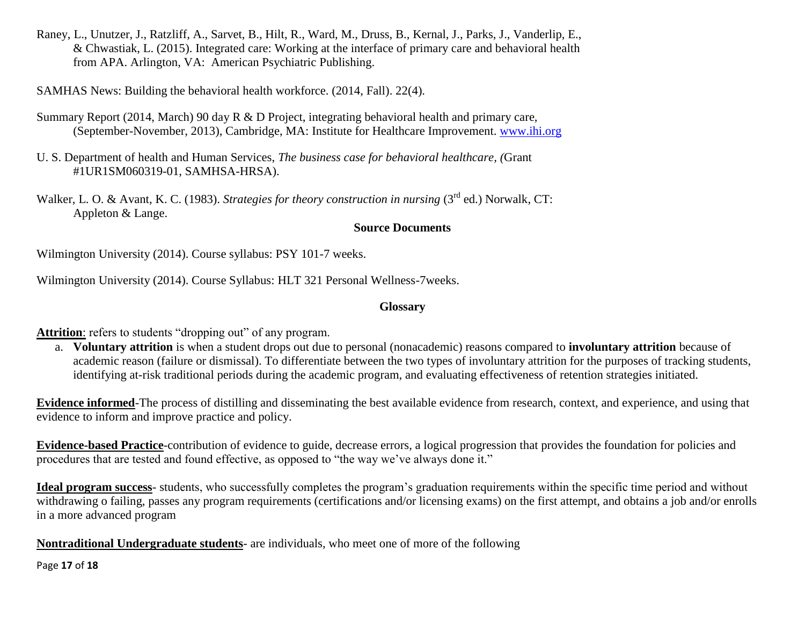Raney, L., Unutzer, J., Ratzliff, A., Sarvet, B., Hilt, R., Ward, M., Druss, B., Kernal, J., Parks, J., Vanderlip, E., & Chwastiak, L. (2015). Integrated care: Working at the interface of primary care and behavioral health from APA. Arlington, VA: American Psychiatric Publishing.

SAMHAS News: Building the behavioral health workforce. (2014, Fall). 22(4).

- Summary Report (2014, March) 90 day R & D Project, integrating behavioral health and primary care, (September-November, 2013), Cambridge, MA: Institute for Healthcare Improvement. [www.ihi.org](http://www.ihi.org/)
- U. S. Department of health and Human Services, *The business case for behavioral healthcare, (*Grant #1UR1SM060319-01, SAMHSA-HRSA).

Walker, L. O. & Avant, K. C. (1983). *Strategies for theory construction in nursing* (3<sup>rd</sup> ed.) Norwalk, CT: Appleton & Lange.

## **Source Documents**

Wilmington University (2014). Course syllabus: PSY 101-7 weeks.

Wilmington University (2014). Course Syllabus: HLT 321 Personal Wellness-7weeks.

## **Glossary**

Attrition: refers to students "dropping out" of any program.

a. **Voluntary attrition** is when a student drops out due to personal (nonacademic) reasons compared to **involuntary attrition** because of academic reason (failure or dismissal). To differentiate between the two types of involuntary attrition for the purposes of tracking students, identifying at-risk traditional periods during the academic program, and evaluating effectiveness of retention strategies initiated.

**Evidence informed**-The process of distilling and disseminating the best available evidence from research, context, and experience, and using that evidence to inform and improve practice and policy.

**Evidence-based Practice**-contribution of evidence to guide, decrease errors, a logical progression that provides the foundation for policies and procedures that are tested and found effective, as opposed to "the way we've always done it."

Ideal program success- students, who successfully completes the program's graduation requirements within the specific time period and without withdrawing o failing, passes any program requirements (certifications and/or licensing exams) on the first attempt, and obtains a job and/or enrolls in a more advanced program

**Nontraditional Undergraduate students**- are individuals, who meet one of more of the following

Page **17** of **18**